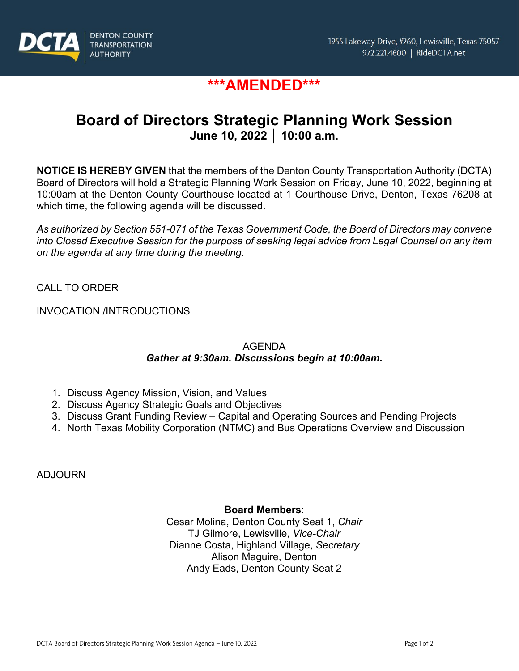

## **\*\*\*AMENDED\*\*\***

# **Board of Directors Strategic Planning Work Session June 10, 2022 │ 10:00 a.m.**

**NOTICE IS HEREBY GIVEN** that the members of the Denton County Transportation Authority (DCTA) Board of Directors will hold a Strategic Planning Work Session on Friday, June 10, 2022, beginning at 10:00am at the Denton County Courthouse located at 1 Courthouse Drive, Denton, Texas 76208 at which time, the following agenda will be discussed.

*As authorized by Section 551-071 of the Texas Government Code, the Board of Directors may convene into Closed Executive Session for the purpose of seeking legal advice from Legal Counsel on any item on the agenda at any time during the meeting.*

CALL TO ORDER

INVOCATION /INTRODUCTIONS

### AGENDA *Gather at 9:30am. Discussions begin at 10:00am.*

- 1. Discuss Agency Mission, Vision, and Values
- 2. Discuss Agency Strategic Goals and Objectives
- 3. Discuss Grant Funding Review Capital and Operating Sources and Pending Projects
- 4. North Texas Mobility Corporation (NTMC) and Bus Operations Overview and Discussion

ADJOURN

#### **Board Members**:

Cesar Molina, Denton County Seat 1, *Chair* TJ Gilmore, Lewisville, *Vice-Chair* Dianne Costa, Highland Village, *Secretary* Alison Maguire, Denton Andy Eads, Denton County Seat 2